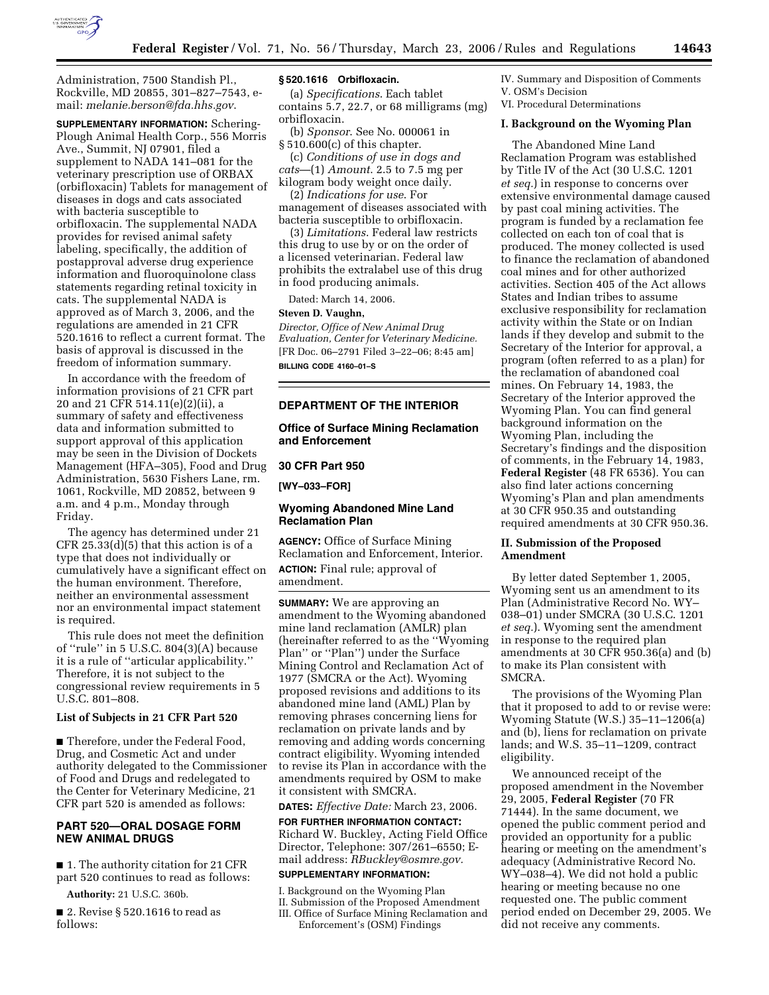

Administration, 7500 Standish Pl., Rockville, MD 20855, 301–827–7543, email: *melanie.berson@fda.hhs.gov*.

**SUPPLEMENTARY INFORMATION:** Schering-Plough Animal Health Corp., 556 Morris Ave., Summit, NJ 07901, filed a supplement to NADA 141–081 for the veterinary prescription use of ORBAX (orbifloxacin) Tablets for management of diseases in dogs and cats associated with bacteria susceptible to orbifloxacin. The supplemental NADA provides for revised animal safety labeling, specifically, the addition of postapproval adverse drug experience information and fluoroquinolone class statements regarding retinal toxicity in cats. The supplemental NADA is approved as of March 3, 2006, and the regulations are amended in 21 CFR 520.1616 to reflect a current format. The basis of approval is discussed in the freedom of information summary.

In accordance with the freedom of information provisions of 21 CFR part 20 and 21 CFR 514.11(e)(2)(ii), a summary of safety and effectiveness data and information submitted to support approval of this application may be seen in the Division of Dockets Management (HFA–305), Food and Drug Administration, 5630 Fishers Lane, rm. 1061, Rockville, MD 20852, between 9 a.m. and 4 p.m., Monday through Friday.

The agency has determined under 21 CFR 25.33(d)(5) that this action is of a type that does not individually or cumulatively have a significant effect on the human environment. Therefore, neither an environmental assessment nor an environmental impact statement is required.

This rule does not meet the definition of ''rule'' in 5 U.S.C. 804(3)(A) because it is a rule of ''articular applicability.'' Therefore, it is not subject to the congressional review requirements in 5 U.S.C. 801–808.

#### **List of Subjects in 21 CFR Part 520**

■ Therefore, under the Federal Food, Drug, and Cosmetic Act and under authority delegated to the Commissioner of Food and Drugs and redelegated to the Center for Veterinary Medicine, 21 CFR part 520 is amended as follows:

## **PART 520—ORAL DOSAGE FORM NEW ANIMAL DRUGS**

■ 1. The authority citation for 21 CFR part 520 continues to read as follows:

**Authority:** 21 U.S.C. 360b.

■ 2. Revise § 520.1616 to read as follows:

#### **§ 520.1616 Orbifloxacin.**

(a) *Specifications*. Each tablet contains 5.7, 22.7, or 68 milligrams (mg) orbifloxacin.

(b) *Sponsor*. See No. 000061 in § 510.600(c) of this chapter.

(c) *Conditions of use in dogs and cats*—(1) *Amount*. 2.5 to 7.5 mg per kilogram body weight once daily.

(2) *Indications for use*. For management of diseases associated with bacteria susceptible to orbifloxacin.

(3) *Limitations*. Federal law restricts this drug to use by or on the order of a licensed veterinarian. Federal law prohibits the extralabel use of this drug in food producing animals.

Dated: March 14, 2006.

#### **Steven D. Vaughn,**

*Director, Office of New Animal Drug Evaluation, Center for Veterinary Medicine.*  [FR Doc. 06–2791 Filed 3–22–06; 8:45 am]

**BILLING CODE 4160–01–S** 

### **DEPARTMENT OF THE INTERIOR**

**Office of Surface Mining Reclamation and Enforcement** 

#### **30 CFR Part 950**

**[WY–033–FOR]** 

# **Wyoming Abandoned Mine Land Reclamation Plan**

**AGENCY:** Office of Surface Mining Reclamation and Enforcement, Interior. **ACTION:** Final rule; approval of amendment.

**SUMMARY:** We are approving an amendment to the Wyoming abandoned mine land reclamation (AMLR) plan (hereinafter referred to as the ''Wyoming Plan'' or ''Plan'') under the Surface Mining Control and Reclamation Act of 1977 (SMCRA or the Act). Wyoming proposed revisions and additions to its abandoned mine land (AML) Plan by removing phrases concerning liens for reclamation on private lands and by removing and adding words concerning contract eligibility. Wyoming intended to revise its Plan in accordance with the amendments required by OSM to make it consistent with SMCRA.

**DATES:** *Effective Date:* March 23, 2006.

**FOR FURTHER INFORMATION CONTACT:**  Richard W. Buckley, Acting Field Office Director, Telephone: 307/261–6550; Email address: *RBuckley@osmre.gov.* 

#### **SUPPLEMENTARY INFORMATION:**

I. Background on the Wyoming Plan II. Submission of the Proposed Amendment III. Office of Surface Mining Reclamation and Enforcement's (OSM) Findings

IV. Summary and Disposition of Comments V. OSM's Decision VI. Procedural Determinations

**I. Background on the Wyoming Plan** 

The Abandoned Mine Land Reclamation Program was established by Title IV of the Act (30 U.S.C. 1201 *et seq.*) in response to concerns over extensive environmental damage caused by past coal mining activities. The program is funded by a reclamation fee collected on each ton of coal that is produced. The money collected is used to finance the reclamation of abandoned coal mines and for other authorized activities. Section 405 of the Act allows States and Indian tribes to assume exclusive responsibility for reclamation activity within the State or on Indian lands if they develop and submit to the Secretary of the Interior for approval, a program (often referred to as a plan) for the reclamation of abandoned coal mines. On February 14, 1983, the Secretary of the Interior approved the Wyoming Plan. You can find general background information on the Wyoming Plan, including the Secretary's findings and the disposition of comments, in the February 14, 1983, **Federal Register** (48 FR 6536). You can also find later actions concerning Wyoming's Plan and plan amendments at 30 CFR 950.35 and outstanding required amendments at 30 CFR 950.36.

#### **II. Submission of the Proposed Amendment**

By letter dated September 1, 2005, Wyoming sent us an amendment to its Plan (Administrative Record No. WY– 038–01) under SMCRA (30 U.S.C. 1201 *et seq.*). Wyoming sent the amendment in response to the required plan amendments at 30 CFR 950.36(a) and (b) to make its Plan consistent with SMCRA.

The provisions of the Wyoming Plan that it proposed to add to or revise were: Wyoming Statute (W.S.) 35–11–1206(a) and (b), liens for reclamation on private lands; and W.S. 35–11–1209, contract eligibility.

We announced receipt of the proposed amendment in the November 29, 2005, **Federal Register** (70 FR 71444). In the same document, we opened the public comment period and provided an opportunity for a public hearing or meeting on the amendment's adequacy (Administrative Record No. WY–038–4). We did not hold a public hearing or meeting because no one requested one. The public comment period ended on December 29, 2005. We did not receive any comments.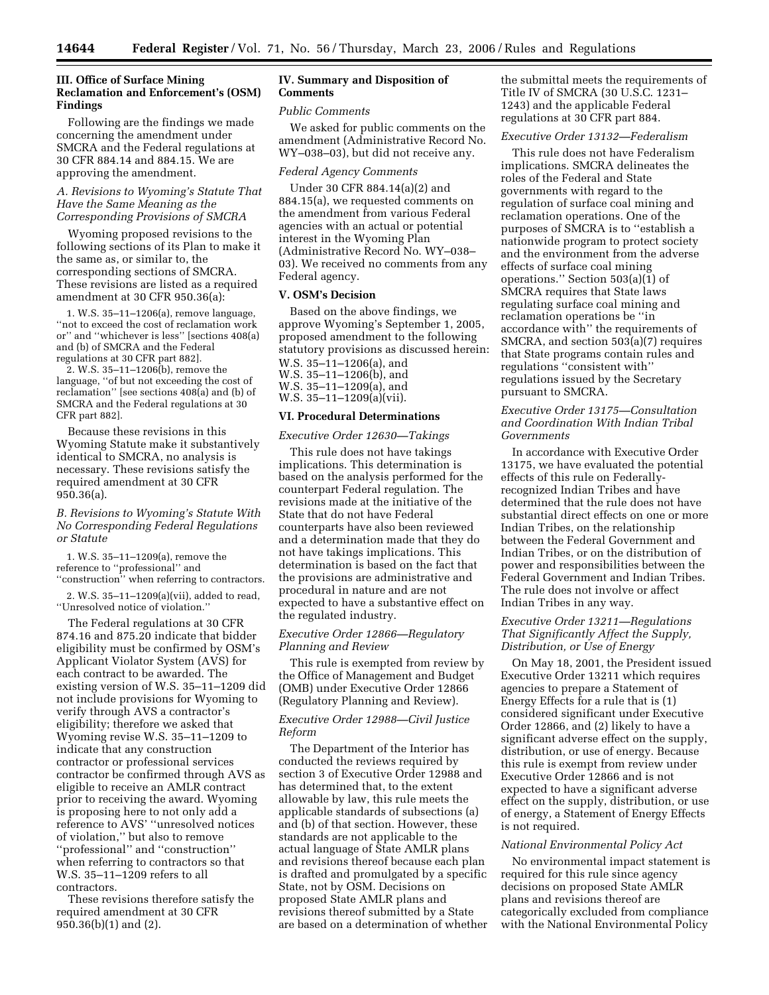# **III. Office of Surface Mining Reclamation and Enforcement's (OSM) Findings**

Following are the findings we made concerning the amendment under SMCRA and the Federal regulations at 30 CFR 884.14 and 884.15. We are approving the amendment.

## *A. Revisions to Wyoming's Statute That Have the Same Meaning as the Corresponding Provisions of SMCRA*

Wyoming proposed revisions to the following sections of its Plan to make it the same as, or similar to, the corresponding sections of SMCRA. These revisions are listed as a required amendment at 30 CFR 950.36(a):

1. W.S. 35–11–1206(a), remove language, ''not to exceed the cost of reclamation work or'' and ''whichever is less'' [sections 408(a) and (b) of SMCRA and the Federal regulations at 30 CFR part 882].

2. W.S. 35–11–1206(b), remove the language, ''of but not exceeding the cost of reclamation'' [see sections 408(a) and (b) of SMCRA and the Federal regulations at 30 CFR part 882].

Because these revisions in this Wyoming Statute make it substantively identical to SMCRA, no analysis is necessary. These revisions satisfy the required amendment at 30 CFR 950.36(a).

## *B. Revisions to Wyoming's Statute With No Corresponding Federal Regulations or Statute*

1. W.S. 35–11–1209(a), remove the reference to ''professional'' and ''construction'' when referring to contractors.

2. W.S. 35–11–1209(a)(vii), added to read, ''Unresolved notice of violation.''

The Federal regulations at 30 CFR 874.16 and 875.20 indicate that bidder eligibility must be confirmed by OSM's Applicant Violator System (AVS) for each contract to be awarded. The existing version of W.S. 35–11–1209 did not include provisions for Wyoming to verify through AVS a contractor's eligibility; therefore we asked that Wyoming revise W.S. 35–11–1209 to indicate that any construction contractor or professional services contractor be confirmed through AVS as eligible to receive an AMLR contract prior to receiving the award. Wyoming is proposing here to not only add a reference to AVS' ''unresolved notices of violation,'' but also to remove ''professional'' and ''construction'' when referring to contractors so that W.S. 35–11–1209 refers to all contractors.

These revisions therefore satisfy the required amendment at 30 CFR 950.36(b)(1) and (2).

## **IV. Summary and Disposition of Comments**

#### *Public Comments*

We asked for public comments on the amendment (Administrative Record No. WY–038–03), but did not receive any.

### *Federal Agency Comments*

Under 30 CFR 884.14(a)(2) and 884.15(a), we requested comments on the amendment from various Federal agencies with an actual or potential interest in the Wyoming Plan (Administrative Record No. WY–038– 03). We received no comments from any Federal agency.

## **V. OSM's Decision**

Based on the above findings, we approve Wyoming's September 1, 2005, proposed amendment to the following statutory provisions as discussed herein: W.S. 35–11–1206(a), and W.S. 35–11–1206(b), and W.S. 35–11–1209(a), and W.S. 35–11–1209(a)(vii).

#### **VI. Procedural Determinations**

*Executive Order 12630—Takings* 

This rule does not have takings implications. This determination is based on the analysis performed for the counterpart Federal regulation. The revisions made at the initiative of the State that do not have Federal counterparts have also been reviewed and a determination made that they do not have takings implications. This determination is based on the fact that the provisions are administrative and procedural in nature and are not expected to have a substantive effect on the regulated industry.

# *Executive Order 12866—Regulatory Planning and Review*

This rule is exempted from review by the Office of Management and Budget (OMB) under Executive Order 12866 (Regulatory Planning and Review).

## *Executive Order 12988—Civil Justice Reform*

The Department of the Interior has conducted the reviews required by section 3 of Executive Order 12988 and has determined that, to the extent allowable by law, this rule meets the applicable standards of subsections (a) and (b) of that section. However, these standards are not applicable to the actual language of State AMLR plans and revisions thereof because each plan is drafted and promulgated by a specific State, not by OSM. Decisions on proposed State AMLR plans and revisions thereof submitted by a State are based on a determination of whether the submittal meets the requirements of Title IV of SMCRA (30 U.S.C. 1231– 1243) and the applicable Federal regulations at 30 CFR part 884.

# *Executive Order 13132—Federalism*

This rule does not have Federalism implications. SMCRA delineates the roles of the Federal and State governments with regard to the regulation of surface coal mining and reclamation operations. One of the purposes of SMCRA is to ''establish a nationwide program to protect society and the environment from the adverse effects of surface coal mining operations.'' Section 503(a)(1) of SMCRA requires that State laws regulating surface coal mining and reclamation operations be ''in accordance with'' the requirements of SMCRA, and section 503(a)(7) requires that State programs contain rules and regulations ''consistent with'' regulations issued by the Secretary pursuant to SMCRA.

### *Executive Order 13175—Consultation and Coordination With Indian Tribal Governments*

In accordance with Executive Order 13175, we have evaluated the potential effects of this rule on Federallyrecognized Indian Tribes and have determined that the rule does not have substantial direct effects on one or more Indian Tribes, on the relationship between the Federal Government and Indian Tribes, or on the distribution of power and responsibilities between the Federal Government and Indian Tribes. The rule does not involve or affect Indian Tribes in any way.

## *Executive Order 13211—Regulations That Significantly Affect the Supply, Distribution, or Use of Energy*

On May 18, 2001, the President issued Executive Order 13211 which requires agencies to prepare a Statement of Energy Effects for a rule that is (1) considered significant under Executive Order 12866, and (2) likely to have a significant adverse effect on the supply, distribution, or use of energy. Because this rule is exempt from review under Executive Order 12866 and is not expected to have a significant adverse effect on the supply, distribution, or use of energy, a Statement of Energy Effects is not required.

#### *National Environmental Policy Act*

No environmental impact statement is required for this rule since agency decisions on proposed State AMLR plans and revisions thereof are categorically excluded from compliance with the National Environmental Policy